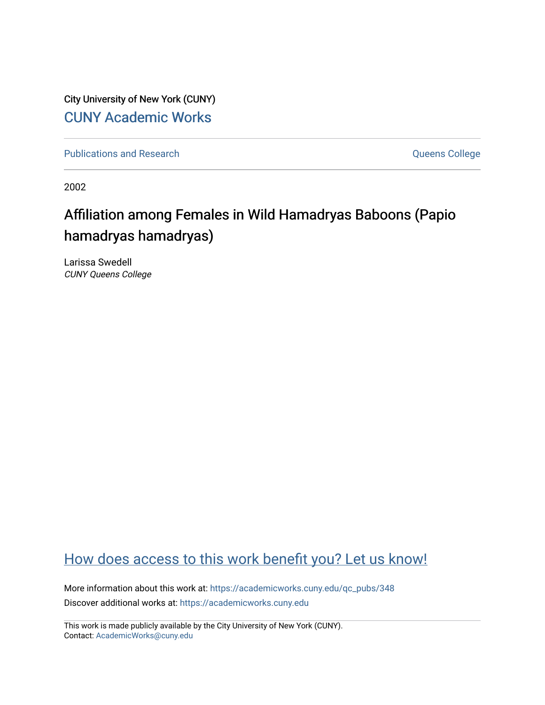City University of New York (CUNY) [CUNY Academic Works](https://academicworks.cuny.edu/) 

[Publications and Research](https://academicworks.cuny.edu/qc_pubs) **College** College and Theorem and Theorem and Theorem and Theorem and Theorem and Theorem and Theorem and Theorem and Theorem and Theorem and Theorem and Theorem and Theorem and Theorem and Theore

2002

# Affiliation among Females in Wild Hamadryas Baboons (Papio hamadryas hamadryas)

Larissa Swedell CUNY Queens College

## [How does access to this work benefit you? Let us know!](http://ols.cuny.edu/academicworks/?ref=https://academicworks.cuny.edu/qc_pubs/348)

More information about this work at: [https://academicworks.cuny.edu/qc\\_pubs/348](https://academicworks.cuny.edu/qc_pubs/348) Discover additional works at: [https://academicworks.cuny.edu](https://academicworks.cuny.edu/?)

This work is made publicly available by the City University of New York (CUNY). Contact: [AcademicWorks@cuny.edu](mailto:AcademicWorks@cuny.edu)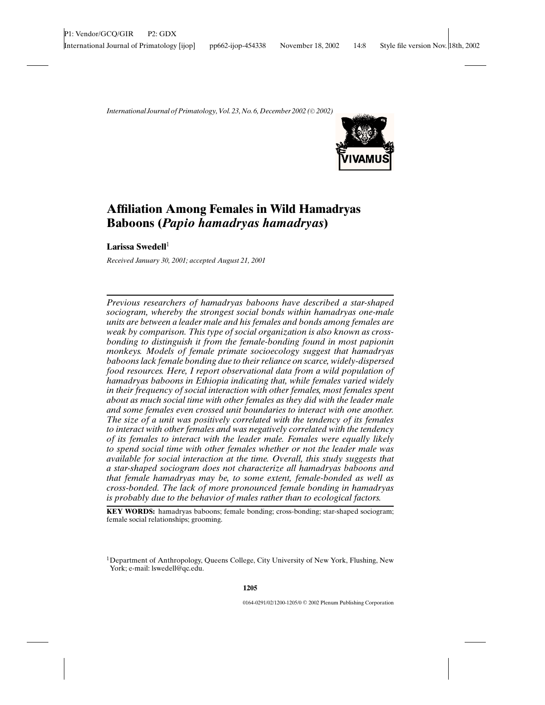*International Journal of Primatology, Vol. 23, No. 6, December 2002 (* $\odot$  *2002)* 



## **Affiliation Among Females in Wild Hamadryas Baboons (***Papio hamadryas hamadryas***)**

## Larissa Swedell<sup>1</sup>

*Received January 30, 2001; accepted August 21, 2001*

*Previous researchers of hamadryas baboons have described a star-shaped sociogram, whereby the strongest social bonds within hamadryas one-male units are between a leader male and his females and bonds among females are weak by comparison. This type of social organization is also known as crossbonding to distinguish it from the female-bonding found in most papionin monkeys. Models of female primate socioecology suggest that hamadryas baboons lack female bonding due to their reliance on scarce, widely-dispersed food resources. Here, I report observational data from a wild population of hamadryas baboons in Ethiopia indicating that, while females varied widely in their frequency of social interaction with other females, most females spent about as much social time with other females as they did with the leader male and some females even crossed unit boundaries to interact with one another. The size of a unit was positively correlated with the tendency of its females to interact with other females and was negatively correlated with the tendency of its females to interact with the leader male. Females were equally likely to spend social time with other females whether or not the leader male was available for social interaction at the time. Overall, this study suggests that a star-shaped sociogram does not characterize all hamadryas baboons and that female hamadryas may be, to some extent, female-bonded as well as cross-bonded. The lack of more pronounced female bonding in hamadryas is probably due to the behavior of males rather than to ecological factors.*

**KEY WORDS:** hamadryas baboons; female bonding; cross-bonding; star-shaped sociogram; female social relationships; grooming.

<sup>&</sup>lt;sup>1</sup>Department of Anthropology, Queens College, City University of New York, Flushing, New York; e-mail: lswedell@qc.edu.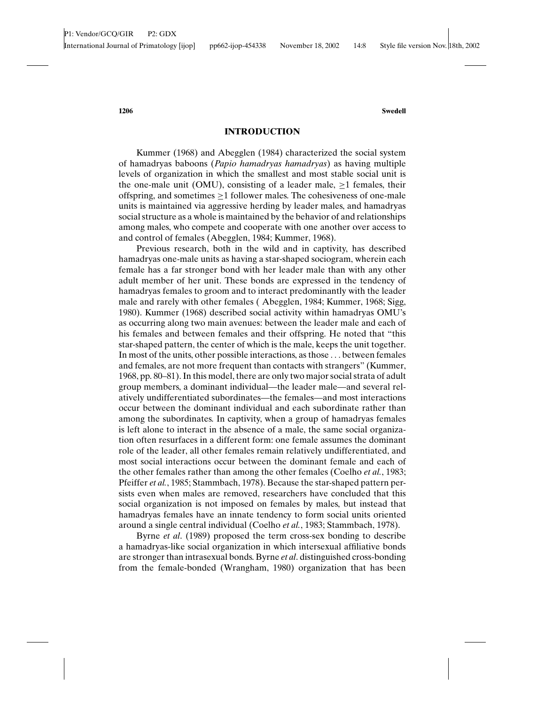## **INTRODUCTION**

Kummer (1968) and Abegglen (1984) characterized the social system of hamadryas baboons (*Papio hamadryas hamadryas*) as having multiple levels of organization in which the smallest and most stable social unit is the one-male unit (OMU), consisting of a leader male,  $>1$  females, their offspring, and sometimes ≥1 follower males. The cohesiveness of one-male units is maintained via aggressive herding by leader males, and hamadryas social structure as a whole is maintained by the behavior of and relationships among males, who compete and cooperate with one another over access to and control of females (Abegglen, 1984; Kummer, 1968).

Previous research, both in the wild and in captivity, has described hamadryas one-male units as having a star-shaped sociogram, wherein each female has a far stronger bond with her leader male than with any other adult member of her unit. These bonds are expressed in the tendency of hamadryas females to groom and to interact predominantly with the leader male and rarely with other females ( Abegglen, 1984; Kummer, 1968; Sigg, 1980). Kummer (1968) described social activity within hamadryas OMU's as occurring along two main avenues: between the leader male and each of his females and between females and their offspring. He noted that "this star-shaped pattern, the center of which is the male, keeps the unit together. In most of the units, other possible interactions, as those ... between females and females, are not more frequent than contacts with strangers" (Kummer, 1968, pp. 80–81). In this model, there are only two major social strata of adult group members, a dominant individual—the leader male—and several relatively undifferentiated subordinates—the females—and most interactions occur between the dominant individual and each subordinate rather than among the subordinates. In captivity, when a group of hamadryas females is left alone to interact in the absence of a male, the same social organization often resurfaces in a different form: one female assumes the dominant role of the leader, all other females remain relatively undifferentiated, and most social interactions occur between the dominant female and each of the other females rather than among the other females (Coelho *et al.*, 1983; Pfeiffer *et al.*, 1985; Stammbach, 1978). Because the star-shaped pattern persists even when males are removed, researchers have concluded that this social organization is not imposed on females by males, but instead that hamadryas females have an innate tendency to form social units oriented around a single central individual (Coelho *et al.*, 1983; Stammbach, 1978).

Byrne *et al*. (1989) proposed the term cross-sex bonding to describe a hamadryas-like social organization in which intersexual affiliative bonds are stronger than intrasexual bonds. Byrne *et al*. distinguished cross-bonding from the female-bonded (Wrangham, 1980) organization that has been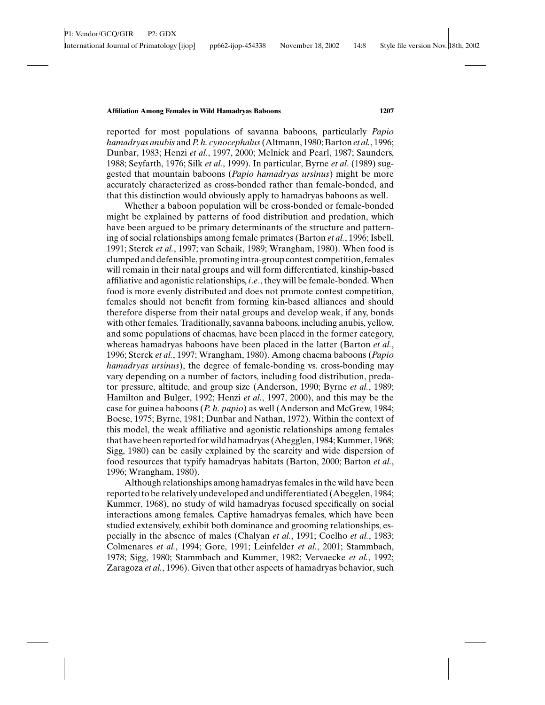reported for most populations of savanna baboons, particularly *Papio hamadryas anubis* and*P. h. cynocephalus*(Altmann, 1980; Barton *et al.*, 1996; Dunbar, 1983; Henzi *et al.*, 1997, 2000; Melnick and Pearl, 1987; Saunders, 1988; Seyfarth, 1976; Silk *et al.*, 1999). In particular, Byrne *et al*. (1989) suggested that mountain baboons (*Papio hamadryas ursinus*) might be more accurately characterized as cross-bonded rather than female-bonded, and that this distinction would obviously apply to hamadryas baboons as well.

Whether a baboon population will be cross-bonded or female-bonded might be explained by patterns of food distribution and predation, which have been argued to be primary determinants of the structure and patterning of social relationships among female primates (Barton *et al.*, 1996; Isbell, 1991; Sterck *et al.*, 1997; van Schaik, 1989; Wrangham, 1980). When food is clumped and defensible, promoting intra-group contest competition, females will remain in their natal groups and will form differentiated, kinship-based affiliative and agonistic relationships, *i*.*e*., they will be female-bonded. When food is more evenly distributed and does not promote contest competition, females should not benefit from forming kin-based alliances and should therefore disperse from their natal groups and develop weak, if any, bonds with other females. Traditionally, savanna baboons, including anubis, yellow, and some populations of chacmas, have been placed in the former category, whereas hamadryas baboons have been placed in the latter (Barton *et al.*, 1996; Sterck *et al.*, 1997; Wrangham, 1980). Among chacma baboons (*Papio hamadryas ursinus*), the degree of female-bonding vs. cross-bonding may vary depending on a number of factors, including food distribution, predator pressure, altitude, and group size (Anderson, 1990; Byrne *et al.*, 1989; Hamilton and Bulger, 1992; Henzi *et al.*, 1997, 2000), and this may be the case for guinea baboons (*P. h. papio*) as well (Anderson and McGrew, 1984; Boese, 1975; Byrne, 1981; Dunbar and Nathan, 1972). Within the context of this model, the weak affiliative and agonistic relationships among females that have been reported for wild hamadryas (Abegglen, 1984; Kummer, 1968; Sigg, 1980) can be easily explained by the scarcity and wide dispersion of food resources that typify hamadryas habitats (Barton, 2000; Barton *et al.*, 1996; Wrangham, 1980).

Although relationships among hamadryas females in the wild have been reported to be relatively undeveloped and undifferentiated (Abegglen, 1984; Kummer, 1968), no study of wild hamadryas focused specifically on social interactions among females. Captive hamadryas females, which have been studied extensively, exhibit both dominance and grooming relationships, especially in the absence of males (Chalyan *et al.*, 1991; Coelho *et al.*, 1983; Colmenares *et al.*, 1994; Gore, 1991; Leinfelder *et al.*, 2001; Stammbach, 1978; Sigg, 1980; Stammbach and Kummer, 1982; Vervaecke *et al.*, 1992; Zaragoza *et al.*, 1996). Given that other aspects of hamadryas behavior, such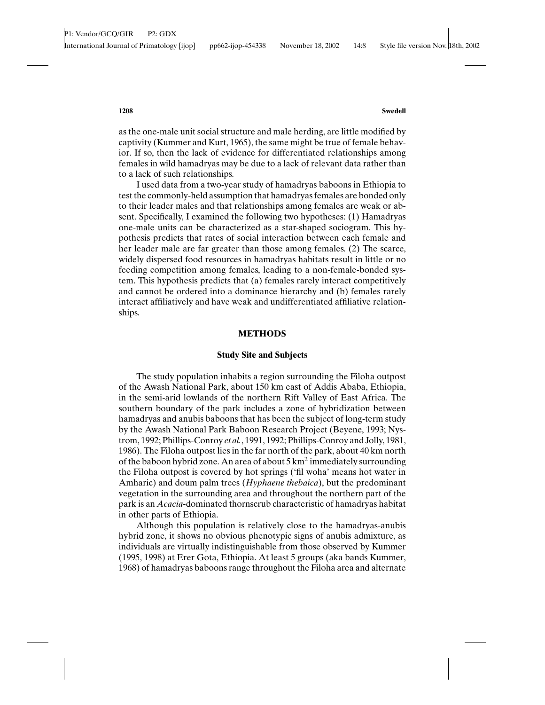as the one-male unit social structure and male herding, are little modified by captivity (Kummer and Kurt, 1965), the same might be true of female behavior. If so, then the lack of evidence for differentiated relationships among females in wild hamadryas may be due to a lack of relevant data rather than to a lack of such relationships.

I used data from a two-year study of hamadryas baboons in Ethiopia to test the commonly-held assumption that hamadryas females are bonded only to their leader males and that relationships among females are weak or absent. Specifically, I examined the following two hypotheses: (1) Hamadryas one-male units can be characterized as a star-shaped sociogram. This hypothesis predicts that rates of social interaction between each female and her leader male are far greater than those among females. (2) The scarce, widely dispersed food resources in hamadryas habitats result in little or no feeding competition among females, leading to a non-female-bonded system. This hypothesis predicts that (a) females rarely interact competitively and cannot be ordered into a dominance hierarchy and (b) females rarely interact affiliatively and have weak and undifferentiated affiliative relationships.

## **METHODS**

## **Study Site and Subjects**

The study population inhabits a region surrounding the Filoha outpost of the Awash National Park, about 150 km east of Addis Ababa, Ethiopia, in the semi-arid lowlands of the northern Rift Valley of East Africa. The southern boundary of the park includes a zone of hybridization between hamadryas and anubis baboons that has been the subject of long-term study by the Awash National Park Baboon Research Project (Beyene, 1993; Nystrom, 1992; Phillips-Conroy *et al.*, 1991, 1992; Phillips-Conroy and Jolly, 1981, 1986). The Filoha outpost lies in the far north of the park, about 40 km north of the baboon hybrid zone. An area of about  $5 \text{ km}^2$  immediately surrounding the Filoha outpost is covered by hot springs ('fil woha' means hot water in Amharic) and doum palm trees (*Hyphaene thebaica*), but the predominant vegetation in the surrounding area and throughout the northern part of the park is an *Acacia*-dominated thornscrub characteristic of hamadryas habitat in other parts of Ethiopia.

Although this population is relatively close to the hamadryas-anubis hybrid zone, it shows no obvious phenotypic signs of anubis admixture, as individuals are virtually indistinguishable from those observed by Kummer (1995, 1998) at Erer Gota, Ethiopia. At least 5 groups (aka bands Kummer, 1968) of hamadryas baboons range throughout the Filoha area and alternate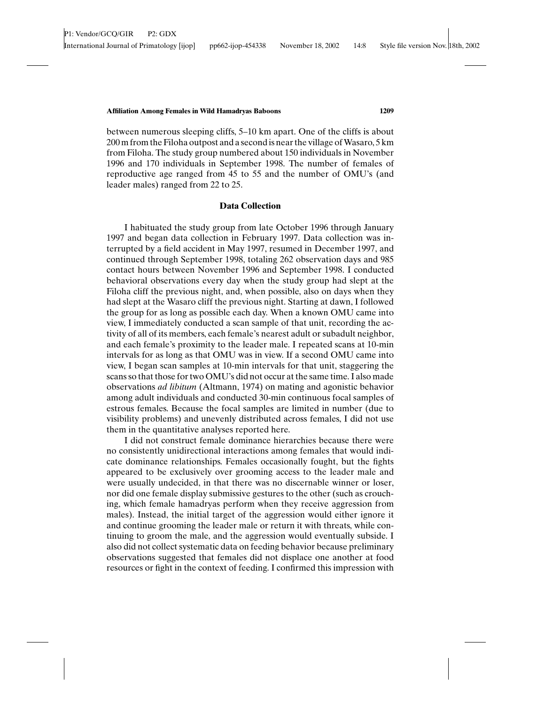between numerous sleeping cliffs, 5–10 km apart. One of the cliffs is about 200 m from the Filoha outpost and a second is near the village of Wasaro, 5 km from Filoha. The study group numbered about 150 individuals in November 1996 and 170 individuals in September 1998. The number of females of reproductive age ranged from 45 to 55 and the number of OMU's (and leader males) ranged from 22 to 25.

## **Data Collection**

I habituated the study group from late October 1996 through January 1997 and began data collection in February 1997. Data collection was interrupted by a field accident in May 1997, resumed in December 1997, and continued through September 1998, totaling 262 observation days and 985 contact hours between November 1996 and September 1998. I conducted behavioral observations every day when the study group had slept at the Filoha cliff the previous night, and, when possible, also on days when they had slept at the Wasaro cliff the previous night. Starting at dawn, I followed the group for as long as possible each day. When a known OMU came into view, I immediately conducted a scan sample of that unit, recording the activity of all of its members, each female's nearest adult or subadult neighbor, and each female's proximity to the leader male. I repeated scans at 10-min intervals for as long as that OMU was in view. If a second OMU came into view, I began scan samples at 10-min intervals for that unit, staggering the scans so that those for two OMU's did not occur at the same time. I also made observations *ad libitum* (Altmann, 1974) on mating and agonistic behavior among adult individuals and conducted 30-min continuous focal samples of estrous females. Because the focal samples are limited in number (due to visibility problems) and unevenly distributed across females, I did not use them in the quantitative analyses reported here.

I did not construct female dominance hierarchies because there were no consistently unidirectional interactions among females that would indicate dominance relationships. Females occasionally fought, but the fights appeared to be exclusively over grooming access to the leader male and were usually undecided, in that there was no discernable winner or loser, nor did one female display submissive gestures to the other (such as crouching, which female hamadryas perform when they receive aggression from males). Instead, the initial target of the aggression would either ignore it and continue grooming the leader male or return it with threats, while continuing to groom the male, and the aggression would eventually subside. I also did not collect systematic data on feeding behavior because preliminary observations suggested that females did not displace one another at food resources or fight in the context of feeding. I confirmed this impression with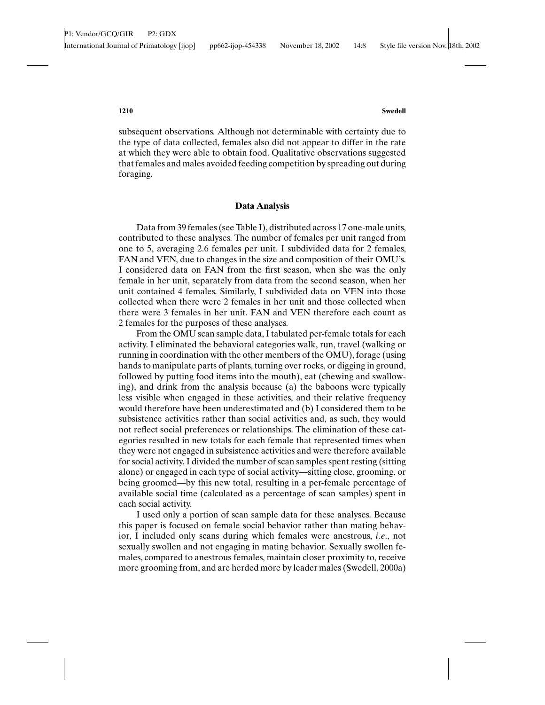subsequent observations. Although not determinable with certainty due to the type of data collected, females also did not appear to differ in the rate at which they were able to obtain food. Qualitative observations suggested that females and males avoided feeding competition by spreading out during foraging.

#### **Data Analysis**

Data from 39 females (see Table I), distributed across 17 one-male units, contributed to these analyses. The number of females per unit ranged from one to 5, averaging 2.6 females per unit. I subdivided data for 2 females, FAN and VEN, due to changes in the size and composition of their OMU's. I considered data on FAN from the first season, when she was the only female in her unit, separately from data from the second season, when her unit contained 4 females. Similarly, I subdivided data on VEN into those collected when there were 2 females in her unit and those collected when there were 3 females in her unit. FAN and VEN therefore each count as 2 females for the purposes of these analyses.

From the OMU scan sample data, I tabulated per-female totals for each activity. I eliminated the behavioral categories walk, run, travel (walking or running in coordination with the other members of the OMU), forage (using hands to manipulate parts of plants, turning over rocks, or digging in ground, followed by putting food items into the mouth), eat (chewing and swallowing), and drink from the analysis because (a) the baboons were typically less visible when engaged in these activities, and their relative frequency would therefore have been underestimated and (b) I considered them to be subsistence activities rather than social activities and, as such, they would not reflect social preferences or relationships. The elimination of these categories resulted in new totals for each female that represented times when they were not engaged in subsistence activities and were therefore available for social activity. I divided the number of scan samples spent resting (sitting alone) or engaged in each type of social activity—sitting close, grooming, or being groomed—by this new total, resulting in a per-female percentage of available social time (calculated as a percentage of scan samples) spent in each social activity.

I used only a portion of scan sample data for these analyses. Because this paper is focused on female social behavior rather than mating behavior, I included only scans during which females were anestrous, *i*.*e*., not sexually swollen and not engaging in mating behavior. Sexually swollen females, compared to anestrous females, maintain closer proximity to, receive more grooming from, and are herded more by leader males (Swedell, 2000a)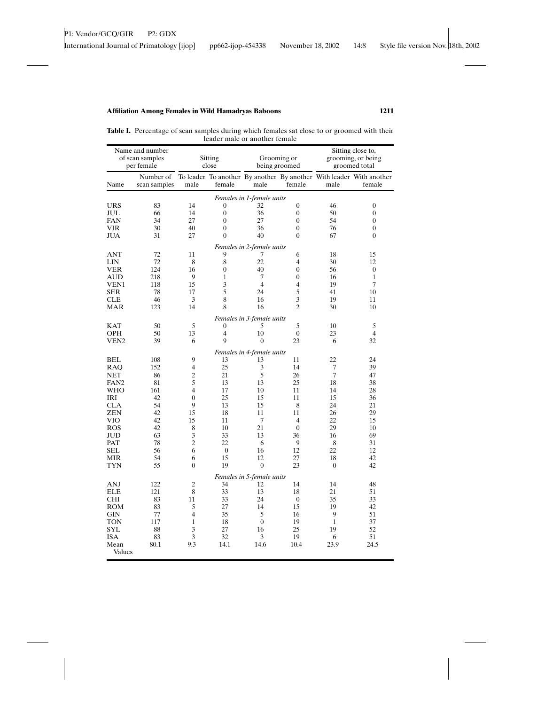| Name and number<br>of scan samples<br>per female |                           | Sitting<br>close    |                  | Grooming or<br>being groomed |                | Sitting close to,<br>grooming, or being<br>groomed total |                                                                               |
|--------------------------------------------------|---------------------------|---------------------|------------------|------------------------------|----------------|----------------------------------------------------------|-------------------------------------------------------------------------------|
| Name                                             | Number of<br>scan samples | male                | female           | male                         | female         | male                                                     | To leader To another By another By another With leader With another<br>female |
| Females in 1-female units                        |                           |                     |                  |                              |                |                                                          |                                                                               |
| URS                                              | 83                        | 14                  | 0                | 32                           | $\mathbf{0}$   | 46                                                       | $\mathbf{0}$                                                                  |
| JUL                                              | 66                        | 14                  | $\overline{0}$   | 36                           | $\overline{0}$ | 50                                                       | $\overline{0}$                                                                |
| <b>FAN</b>                                       | 34                        | 27                  | $\overline{0}$   | 27                           | $\overline{0}$ | 54                                                       | $\mathbf{0}$                                                                  |
| <b>VIR</b>                                       | 30                        | 40                  | $\overline{0}$   | 36                           | $\overline{0}$ | 76                                                       | $\overline{0}$                                                                |
| <b>JUA</b>                                       | 31                        | 27                  | $\theta$         | 40                           | $\overline{0}$ | 67                                                       | $\overline{0}$                                                                |
| Females in 2-female units                        |                           |                     |                  |                              |                |                                                          |                                                                               |
| ANT                                              | 72                        | 11                  | 9                | 7                            | 6              | 18                                                       | 15                                                                            |
| <b>LIN</b>                                       | 72                        | 8                   | 8                | 22                           | $\overline{4}$ | 30                                                       | 12                                                                            |
| VER                                              | 124                       | 16                  | $\overline{0}$   | 40                           | $\overline{0}$ | 56                                                       | $\mathbf{0}$                                                                  |
| AUD                                              | 218                       | 9                   | $\mathbf{1}$     | 7                            | $\overline{0}$ | 16                                                       | $\mathbf{1}$                                                                  |
| VEN1                                             | 118                       | 15                  | 3                | $\overline{4}$               | $\overline{4}$ | 19                                                       | 7                                                                             |
| <b>SER</b>                                       | 78                        | 17                  | 5                | 24                           | 5              | 41                                                       | 10                                                                            |
| CLE                                              | 46                        | 3                   | 8                | 16                           | 3              | 19                                                       | 11                                                                            |
| MAR                                              | 123                       | 14                  | 8                | 16                           | $\overline{2}$ | 30                                                       | 10                                                                            |
| Females in 3-female units                        |                           |                     |                  |                              |                |                                                          |                                                                               |
| KAT                                              | 50                        | 5                   | 0                | 5                            | 5              | 10                                                       | 5                                                                             |
| OPH                                              | 50                        | 13                  | 4                | 10                           | $\overline{0}$ | 23                                                       | 4                                                                             |
| VEN2                                             | 39                        | 6                   | 9                | $\theta$                     | 23             | 6                                                        | 32                                                                            |
| Females in 4-female units                        |                           |                     |                  |                              |                |                                                          |                                                                               |
| BEL                                              | 108                       | 9                   | 13               | 13                           | 11             | 22                                                       | 24                                                                            |
| RAO                                              | 152                       | $\overline{4}$      | 25               | 3                            | 14             | 7                                                        | 39                                                                            |
| NET                                              | 86                        | 2                   | 21               | 5                            | 26             | 7                                                        | 47                                                                            |
| FAN <sub>2</sub>                                 | 81                        | 5<br>$\overline{4}$ | 13               | 13                           | 25             | 18                                                       | 38                                                                            |
| <b>WHO</b><br>IRI                                | 161<br>42                 | $\mathbf{0}$        | 17<br>25         | 10<br>15                     | 11<br>11       | 14<br>15                                                 | 28<br>36                                                                      |
| <b>CLA</b>                                       | 54                        | 9                   | 13               | 15                           | 8              | 24                                                       | 21                                                                            |
| <b>ZEN</b>                                       | 42                        | 15                  | 18               | 11                           | 11             | 26                                                       | 29                                                                            |
| VIO                                              | 42                        | 15                  | 11               | 7                            | $\overline{4}$ | 22                                                       | 15                                                                            |
| <b>ROS</b>                                       | 42                        | 8                   | 10               | 21                           | $\overline{0}$ | 29                                                       | 10                                                                            |
| JUD                                              | 63                        | 3                   | 33               | 13                           | 36             | 16                                                       | 69                                                                            |
| PAT                                              | 78                        | $\overline{c}$      | 22               | 6                            | 9              | 8                                                        | 31                                                                            |
| SEL                                              | 56                        | 6                   | $\boldsymbol{0}$ | 16                           | 12             | 22                                                       | 12                                                                            |
| MIR                                              | 54                        | 6                   | 15               | 12                           | 27             | 18                                                       | 42                                                                            |
| <b>TYN</b>                                       | 55                        | $\mathbf{0}$        | 19               | $\mathbf{0}$                 | 23             | $\mathbf{0}$                                             | 42                                                                            |
| Females in 5-female units                        |                           |                     |                  |                              |                |                                                          |                                                                               |
| ANJ                                              | 122                       | $\overline{c}$      | 34               | 12                           | 14             | 14                                                       | 48                                                                            |
| <b>ELE</b>                                       | 121                       | 8                   | 33               | 13                           | 18             | 21                                                       | 51                                                                            |
| <b>CHI</b>                                       | 83                        | 11                  | 33               | 24                           | $\overline{0}$ | 35                                                       | 33                                                                            |
| <b>ROM</b>                                       | 83                        | 5                   | 27               | 14                           | 15             | 19                                                       | 42                                                                            |
| GIN                                              | 77                        | 4                   | 35               | 5                            | 16             | 9                                                        | 51                                                                            |
| <b>TON</b>                                       | 117                       | $\mathbf{1}$        | 18               | $\overline{0}$               | 19             | $\mathbf{1}$                                             | 37                                                                            |
| SYL                                              | 88                        | 3                   | 27               | 16                           | 25             | 19                                                       | 52                                                                            |
| <b>ISA</b>                                       | 83                        | 3                   | 32               | 3                            | 19             | 6                                                        | 51                                                                            |
| Mean<br>Values                                   | 80.1                      | 9.3                 | 14.1             | 14.6                         | 10.4           | 23.9                                                     | 24.5                                                                          |

**Table I.** Percentage of scan samples during which females sat close to or groomed with their leader male or another female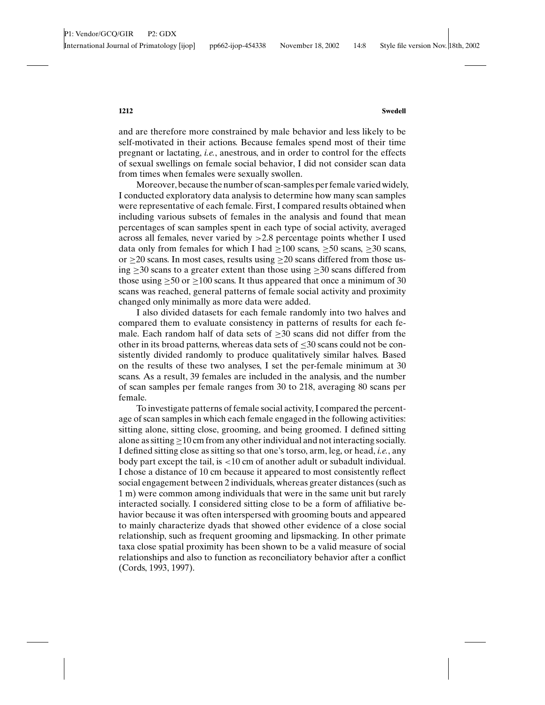and are therefore more constrained by male behavior and less likely to be self-motivated in their actions. Because females spend most of their time pregnant or lactating, *i.e.*, anestrous, and in order to control for the effects of sexual swellings on female social behavior, I did not consider scan data from times when females were sexually swollen.

Moreover, because the number of scan-samples per female varied widely, I conducted exploratory data analysis to determine how many scan samples were representative of each female. First, I compared results obtained when including various subsets of females in the analysis and found that mean percentages of scan samples spent in each type of social activity, averaged across all females, never varied by  $>2.8$  percentage points whether I used data only from females for which I had  $\geq 100$  scans,  $\geq 50$  scans,  $\geq 30$  scans, or  $>$ 20 scans. In most cases, results using  $>$ 20 scans differed from those using  $>$ 30 scans to a greater extent than those using  $>$ 30 scans differed from those using  $>50$  or  $>100$  scans. It thus appeared that once a minimum of 30 scans was reached, general patterns of female social activity and proximity changed only minimally as more data were added.

I also divided datasets for each female randomly into two halves and compared them to evaluate consistency in patterns of results for each female. Each random half of data sets of  $\geq$ 30 scans did not differ from the other in its broad patterns, whereas data sets of  $\leq$ 30 scans could not be consistently divided randomly to produce qualitatively similar halves. Based on the results of these two analyses, I set the per-female minimum at 30 scans. As a result, 39 females are included in the analysis, and the number of scan samples per female ranges from 30 to 218, averaging 80 scans per female.

To investigate patterns of female social activity, I compared the percentage of scan samples in which each female engaged in the following activities: sitting alone, sitting close, grooming, and being groomed. I defined sitting alone as sitting ≥10 cm from any other individual and not interacting socially. I defined sitting close as sitting so that one's torso, arm, leg, or head, *i.e.*, any body part except the tail, is <10 cm of another adult or subadult individual. I chose a distance of 10 cm because it appeared to most consistently reflect social engagement between 2 individuals, whereas greater distances (such as 1 m) were common among individuals that were in the same unit but rarely interacted socially. I considered sitting close to be a form of affiliative behavior because it was often interspersed with grooming bouts and appeared to mainly characterize dyads that showed other evidence of a close social relationship, such as frequent grooming and lipsmacking. In other primate taxa close spatial proximity has been shown to be a valid measure of social relationships and also to function as reconciliatory behavior after a conflict (Cords, 1993, 1997).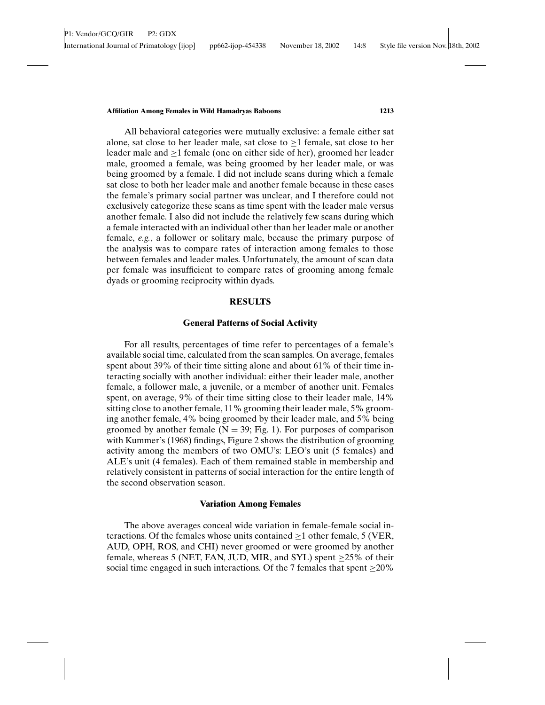All behavioral categories were mutually exclusive: a female either sat alone, sat close to her leader male, sat close to  $\geq 1$  female, sat close to her leader male and ≥1 female (one on either side of her), groomed her leader male, groomed a female, was being groomed by her leader male, or was being groomed by a female. I did not include scans during which a female sat close to both her leader male and another female because in these cases the female's primary social partner was unclear, and I therefore could not exclusively categorize these scans as time spent with the leader male versus another female. I also did not include the relatively few scans during which a female interacted with an individual other than her leader male or another female, *e.g.*, a follower or solitary male, because the primary purpose of the analysis was to compare rates of interaction among females to those between females and leader males. Unfortunately, the amount of scan data per female was insufficient to compare rates of grooming among female dyads or grooming reciprocity within dyads.

## **RESULTS**

## **General Patterns of Social Activity**

For all results, percentages of time refer to percentages of a female's available social time, calculated from the scan samples. On average, females spent about 39% of their time sitting alone and about 61% of their time interacting socially with another individual: either their leader male, another female, a follower male, a juvenile, or a member of another unit. Females spent, on average, 9% of their time sitting close to their leader male, 14% sitting close to another female, 11% grooming their leader male, 5% grooming another female, 4% being groomed by their leader male, and 5% being groomed by another female  $(N = 39; Fig. 1)$ . For purposes of comparison with Kummer's (1968) findings, Figure 2 shows the distribution of grooming activity among the members of two OMU's: LEO's unit (5 females) and ALE's unit (4 females). Each of them remained stable in membership and relatively consistent in patterns of social interaction for the entire length of the second observation season.

#### **Variation Among Females**

The above averages conceal wide variation in female-female social interactions. Of the females whose units contained ≥1 other female, 5 (VER, AUD, OPH, ROS, and CHI) never groomed or were groomed by another female, whereas 5 (NET, FAN, JUD, MIR, and SYL) spent >25% of their social time engaged in such interactions. Of the 7 females that spent  $\geq$ 20%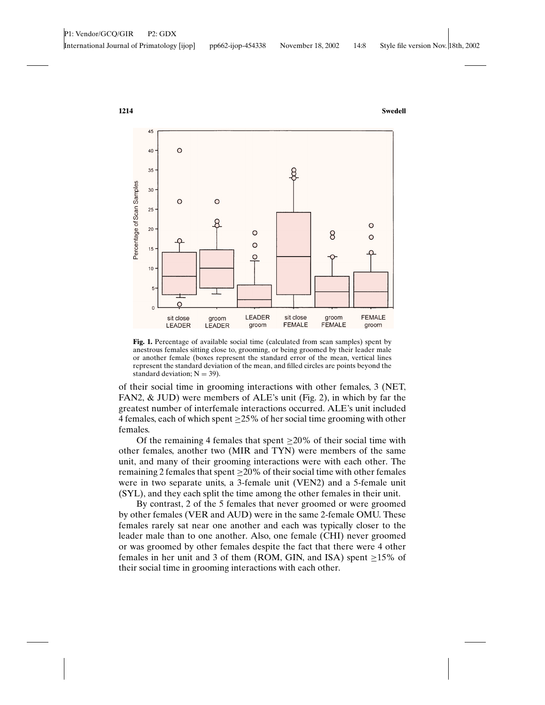

**Fig. 1.** Percentage of available social time (calculated from scan samples) spent by anestrous females sitting close to, grooming, or being groomed by their leader male or another female (boxes represent the standard error of the mean, vertical lines represent the standard deviation of the mean, and filled circles are points beyond the standard deviation;  $N = 39$ ).

of their social time in grooming interactions with other females, 3 (NET, FAN2, & JUD) were members of ALE's unit (Fig. 2), in which by far the greatest number of interfemale interactions occurred. ALE's unit included 4 females, each of which spent ≥25% of her social time grooming with other females.

Of the remaining 4 females that spent ≥20% of their social time with other females, another two (MIR and TYN) were members of the same unit, and many of their grooming interactions were with each other. The remaining 2 females that spent  $\geq$  20% of their social time with other females were in two separate units, a 3-female unit (VEN2) and a 5-female unit (SYL), and they each split the time among the other females in their unit.

By contrast, 2 of the 5 females that never groomed or were groomed by other females (VER and AUD) were in the same 2-female OMU. These females rarely sat near one another and each was typically closer to the leader male than to one another. Also, one female (CHI) never groomed or was groomed by other females despite the fact that there were 4 other females in her unit and 3 of them (ROM, GIN, and ISA) spent ≥15% of their social time in grooming interactions with each other.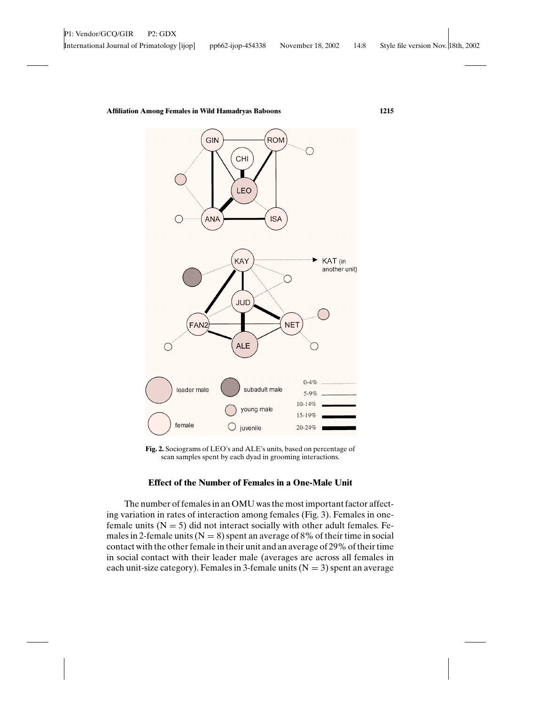

**Fig. 2.** Sociograms of LEO's and ALE's units, based on percentage of scan samples spent by each dyad in grooming interactions.

## **Effect of the Number of Females in a One-Male Unit**

The number of females in an OMU was the most important factor affecting variation in rates of interaction among females (Fig. 3). Females in onefemale units  $(N = 5)$  did not interact socially with other adult females. Females in 2-female units ( $N = 8$ ) spent an average of 8% of their time in social contact with the other female in their unit and an average of 29% of their time in social contact with their leader male (averages are across all females in each unit-size category). Females in 3-female units  $(N = 3)$  spent an average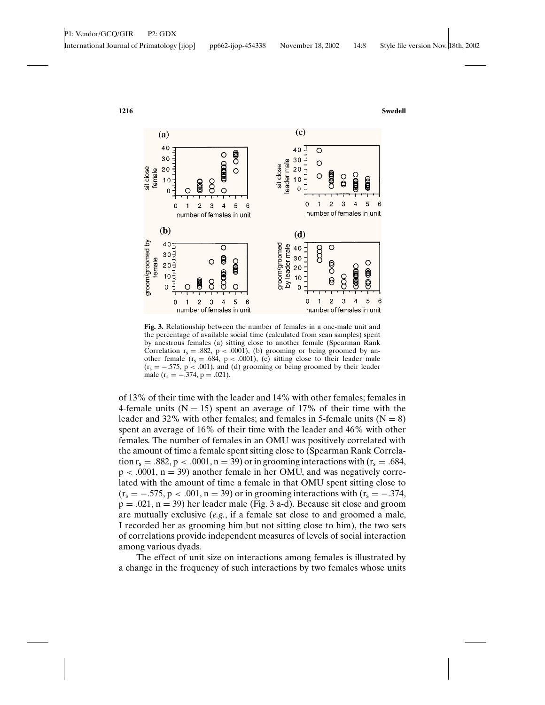

Fig. 3. Relationship between the number of females in a one-male unit and the percentage of available social time (calculated from scan samples) spent by anestrous females (a) sitting close to another female (Spearman Rank Correlation  $r_s = .882$ ,  $p < .0001$ ), (b) grooming or being groomed by another female  $(r_s = .684, p < .0001)$ , (c) sitting close to their leader male  $(r<sub>s</sub> = -0.575, p < 0.001)$ , and (d) grooming or being groomed by their leader male ( $r_s = -.374$ ,  $p = .021$ ).

of 13% of their time with the leader and 14% with other females; females in 4-female units  $(N = 15)$  spent an average of 17% of their time with the leader and 32% with other females; and females in 5-female units ( $N = 8$ ) spent an average of 16% of their time with the leader and 46% with other females. The number of females in an OMU was positively correlated with the amount of time a female spent sitting close to (Spearman Rank Correlation  $r_s = .882$ ,  $p < .0001$ ,  $n = 39$ ) or in grooming interactions with  $(r_s = .684$ ,  $p < .0001$ ,  $n = 39$ ) another female in her OMU, and was negatively correlated with the amount of time a female in that OMU spent sitting close to  $(r<sub>s</sub> = -.575, p < .001, n = 39)$  or in grooming interactions with  $(r<sub>s</sub> = -.374,$  $p = .021$ ,  $n = 39$ ) her leader male (Fig. 3 a-d). Because sit close and groom are mutually exclusive (*e.g.*, if a female sat close to and groomed a male, I recorded her as grooming him but not sitting close to him), the two sets of correlations provide independent measures of levels of social interaction among various dyads.

The effect of unit size on interactions among females is illustrated by a change in the frequency of such interactions by two females whose units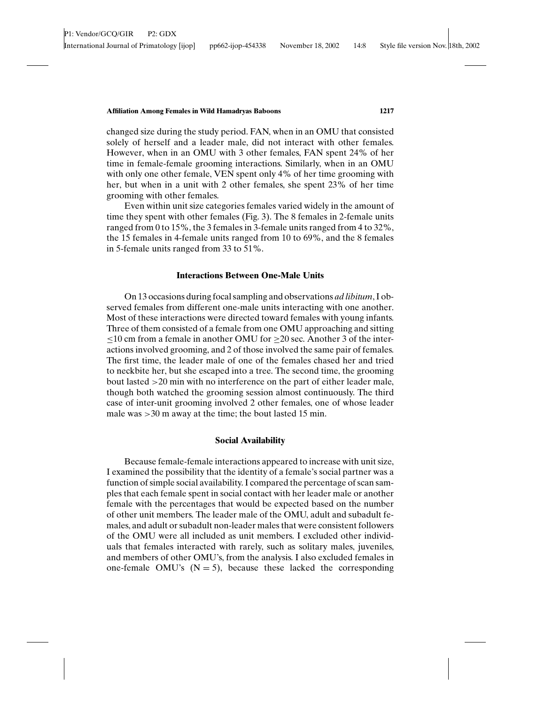changed size during the study period. FAN, when in an OMU that consisted solely of herself and a leader male, did not interact with other females. However, when in an OMU with 3 other females, FAN spent 24% of her time in female-female grooming interactions. Similarly, when in an OMU with only one other female, VEN spent only 4% of her time grooming with her, but when in a unit with 2 other females, she spent 23% of her time grooming with other females.

Even within unit size categories females varied widely in the amount of time they spent with other females (Fig. 3). The 8 females in 2-female units ranged from 0 to 15%, the 3 females in 3-female units ranged from 4 to 32%, the 15 females in 4-female units ranged from 10 to 69%, and the 8 females in 5-female units ranged from 33 to 51%.

## **Interactions Between One-Male Units**

On 13 occasions during focal sampling and observations *ad libitum*, I observed females from different one-male units interacting with one another. Most of these interactions were directed toward females with young infants. Three of them consisted of a female from one OMU approaching and sitting ≤10 cm from a female in another OMU for ≥20 sec. Another 3 of the interactions involved grooming, and 2 of those involved the same pair of females. The first time, the leader male of one of the females chased her and tried to neckbite her, but she escaped into a tree. The second time, the grooming bout lasted >20 min with no interference on the part of either leader male, though both watched the grooming session almost continuously. The third case of inter-unit grooming involved 2 other females, one of whose leader male was >30 m away at the time; the bout lasted 15 min.

## **Social Availability**

Because female-female interactions appeared to increase with unit size, I examined the possibility that the identity of a female's social partner was a function of simple social availability. I compared the percentage of scan samples that each female spent in social contact with her leader male or another female with the percentages that would be expected based on the number of other unit members. The leader male of the OMU, adult and subadult females, and adult or subadult non-leader males that were consistent followers of the OMU were all included as unit members. I excluded other individuals that females interacted with rarely, such as solitary males, juveniles, and members of other OMU's, from the analysis. I also excluded females in one-female OMU's  $(N = 5)$ , because these lacked the corresponding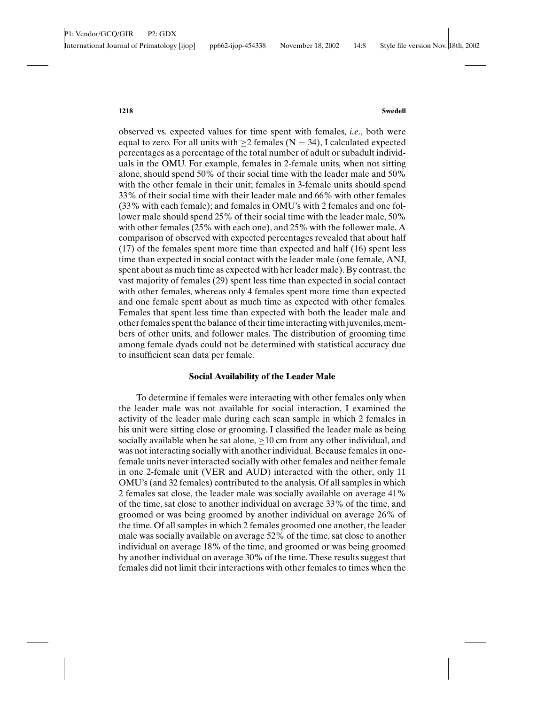observed vs. expected values for time spent with females, *i.e*., both were equal to zero. For all units with  $\geq 2$  females (N = 34), I calculated expected percentages as a percentage of the total number of adult or subadult individuals in the OMU. For example, females in 2-female units, when not sitting alone, should spend 50% of their social time with the leader male and 50% with the other female in their unit; females in 3-female units should spend 33% of their social time with their leader male and 66% with other females (33% with each female); and females in OMU's with 2 females and one follower male should spend 25% of their social time with the leader male, 50% with other females (25% with each one), and 25% with the follower male. A comparison of observed with expected percentages revealed that about half (17) of the females spent more time than expected and half (16) spent less time than expected in social contact with the leader male (one female, ANJ, spent about as much time as expected with her leader male). By contrast, the vast majority of females (29) spent less time than expected in social contact with other females, whereas only 4 females spent more time than expected and one female spent about as much time as expected with other females. Females that spent less time than expected with both the leader male and other females spent the balance of their time interacting with juveniles, members of other units, and follower males. The distribution of grooming time among female dyads could not be determined with statistical accuracy due to insufficient scan data per female.

## **Social Availability of the Leader Male**

To determine if females were interacting with other females only when the leader male was not available for social interaction, I examined the activity of the leader male during each scan sample in which 2 females in his unit were sitting close or grooming. I classified the leader male as being socially available when he sat alone,  $>10$  cm from any other individual, and was not interacting socially with another individual. Because females in onefemale units never interacted socially with other females and neither female in one 2-female unit (VER and AUD) interacted with the other, only 11 OMU's (and 32 females) contributed to the analysis. Of all samples in which 2 females sat close, the leader male was socially available on average 41% of the time, sat close to another individual on average 33% of the time, and groomed or was being groomed by another individual on average 26% of the time. Of all samples in which 2 females groomed one another, the leader male was socially available on average 52% of the time, sat close to another individual on average 18% of the time, and groomed or was being groomed by another individual on average 30% of the time. These results suggest that females did not limit their interactions with other females to times when the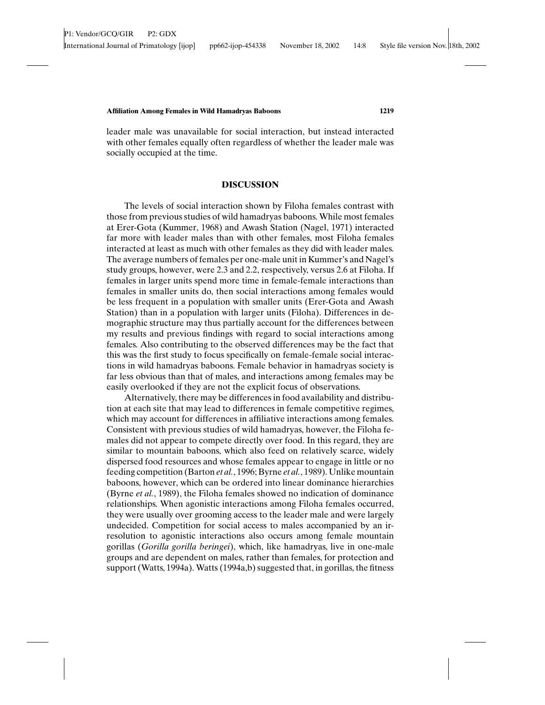leader male was unavailable for social interaction, but instead interacted with other females equally often regardless of whether the leader male was socially occupied at the time.

## **DISCUSSION**

The levels of social interaction shown by Filoha females contrast with those from previous studies of wild hamadryas baboons. While most females at Erer-Gota (Kummer, 1968) and Awash Station (Nagel, 1971) interacted far more with leader males than with other females, most Filoha females interacted at least as much with other females as they did with leader males. The average numbers of females per one-male unit in Kummer's and Nagel's study groups, however, were 2.3 and 2.2, respectively, versus 2.6 at Filoha. If females in larger units spend more time in female-female interactions than females in smaller units do, then social interactions among females would be less frequent in a population with smaller units (Erer-Gota and Awash Station) than in a population with larger units (Filoha). Differences in demographic structure may thus partially account for the differences between my results and previous findings with regard to social interactions among females. Also contributing to the observed differences may be the fact that this was the first study to focus specifically on female-female social interactions in wild hamadryas baboons. Female behavior in hamadryas society is far less obvious than that of males, and interactions among females may be easily overlooked if they are not the explicit focus of observations.

Alternatively, there may be differences in food availability and distribution at each site that may lead to differences in female competitive regimes, which may account for differences in affiliative interactions among females. Consistent with previous studies of wild hamadryas, however, the Filoha females did not appear to compete directly over food. In this regard, they are similar to mountain baboons, which also feed on relatively scarce, widely dispersed food resources and whose females appear to engage in little or no feeding competition (Barton *et al.*, 1996; Byrne *et al.*, 1989). Unlike mountain baboons, however, which can be ordered into linear dominance hierarchies (Byrne *et al.*, 1989), the Filoha females showed no indication of dominance relationships. When agonistic interactions among Filoha females occurred, they were usually over grooming access to the leader male and were largely undecided. Competition for social access to males accompanied by an irresolution to agonistic interactions also occurs among female mountain gorillas (*Gorilla gorilla beringei*), which, like hamadryas, live in one-male groups and are dependent on males, rather than females, for protection and support (Watts, 1994a). Watts (1994a,b) suggested that, in gorillas, the fitness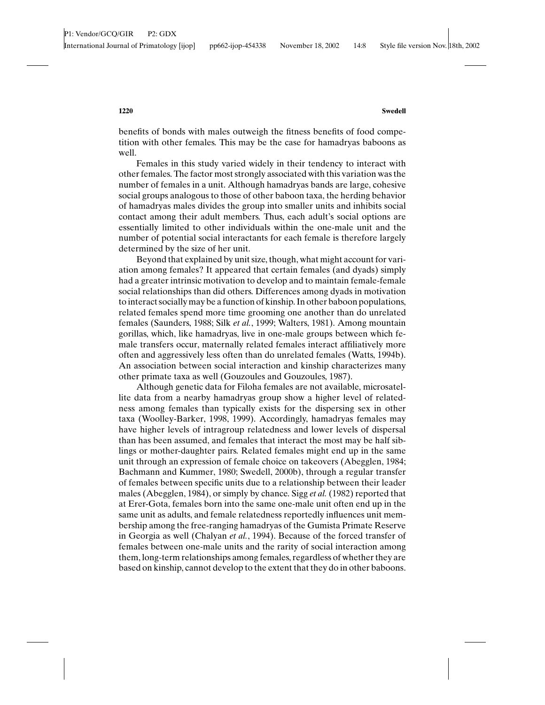benefits of bonds with males outweigh the fitness benefits of food competition with other females. This may be the case for hamadryas baboons as well.

Females in this study varied widely in their tendency to interact with other females. The factor most strongly associated with this variation was the number of females in a unit. Although hamadryas bands are large, cohesive social groups analogous to those of other baboon taxa, the herding behavior of hamadryas males divides the group into smaller units and inhibits social contact among their adult members. Thus, each adult's social options are essentially limited to other individuals within the one-male unit and the number of potential social interactants for each female is therefore largely determined by the size of her unit.

Beyond that explained by unit size, though, what might account for variation among females? It appeared that certain females (and dyads) simply had a greater intrinsic motivation to develop and to maintain female-female social relationships than did others. Differences among dyads in motivation to interact socially may be a function of kinship. In other baboon populations, related females spend more time grooming one another than do unrelated females (Saunders, 1988; Silk *et al.*, 1999; Walters, 1981). Among mountain gorillas, which, like hamadryas, live in one-male groups between which female transfers occur, maternally related females interact affiliatively more often and aggressively less often than do unrelated females (Watts, 1994b). An association between social interaction and kinship characterizes many other primate taxa as well (Gouzoules and Gouzoules, 1987).

Although genetic data for Filoha females are not available, microsatellite data from a nearby hamadryas group show a higher level of relatedness among females than typically exists for the dispersing sex in other taxa (Woolley-Barker, 1998, 1999). Accordingly, hamadryas females may have higher levels of intragroup relatedness and lower levels of dispersal than has been assumed, and females that interact the most may be half siblings or mother-daughter pairs. Related females might end up in the same unit through an expression of female choice on takeovers (Abegglen, 1984; Bachmann and Kummer, 1980; Swedell, 2000b), through a regular transfer of females between specific units due to a relationship between their leader males (Abegglen, 1984), or simply by chance. Sigg *et al.* (1982) reported that at Erer-Gota, females born into the same one-male unit often end up in the same unit as adults, and female relatedness reportedly influences unit membership among the free-ranging hamadryas of the Gumista Primate Reserve in Georgia as well (Chalyan *et al.*, 1994). Because of the forced transfer of females between one-male units and the rarity of social interaction among them, long-term relationships among females, regardless of whether they are based on kinship, cannot develop to the extent that they do in other baboons.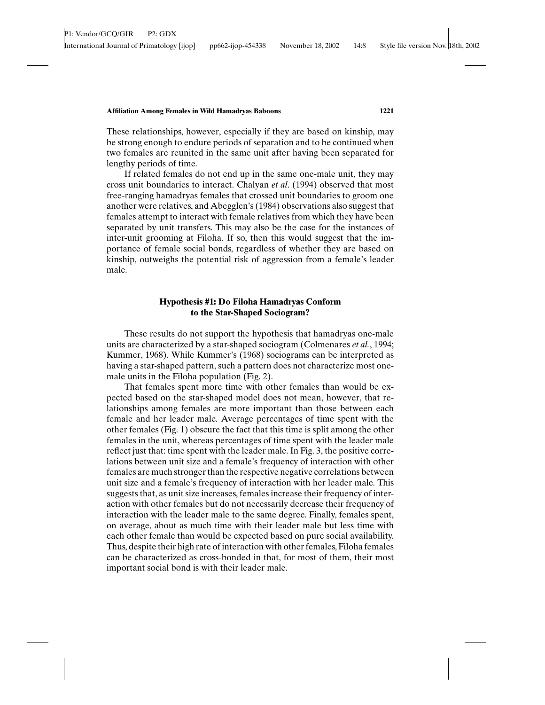These relationships, however, especially if they are based on kinship, may be strong enough to endure periods of separation and to be continued when two females are reunited in the same unit after having been separated for lengthy periods of time.

If related females do not end up in the same one-male unit, they may cross unit boundaries to interact. Chalyan *et al*. (1994) observed that most free-ranging hamadryas females that crossed unit boundaries to groom one another were relatives, and Abegglen's (1984) observations also suggest that females attempt to interact with female relatives from which they have been separated by unit transfers. This may also be the case for the instances of inter-unit grooming at Filoha. If so, then this would suggest that the importance of female social bonds, regardless of whether they are based on kinship, outweighs the potential risk of aggression from a female's leader male.

## **Hypothesis #1: Do Filoha Hamadryas Conform to the Star-Shaped Sociogram?**

These results do not support the hypothesis that hamadryas one-male units are characterized by a star-shaped sociogram (Colmenares *et al.*, 1994; Kummer, 1968). While Kummer's (1968) sociograms can be interpreted as having a star-shaped pattern, such a pattern does not characterize most onemale units in the Filoha population (Fig. 2).

That females spent more time with other females than would be expected based on the star-shaped model does not mean, however, that relationships among females are more important than those between each female and her leader male. Average percentages of time spent with the other females (Fig. 1) obscure the fact that this time is split among the other females in the unit, whereas percentages of time spent with the leader male reflect just that: time spent with the leader male. In Fig. 3, the positive correlations between unit size and a female's frequency of interaction with other females are much stronger than the respective negative correlations between unit size and a female's frequency of interaction with her leader male. This suggests that, as unit size increases, females increase their frequency of interaction with other females but do not necessarily decrease their frequency of interaction with the leader male to the same degree. Finally, females spent, on average, about as much time with their leader male but less time with each other female than would be expected based on pure social availability. Thus, despite their high rate of interaction with other females, Filoha females can be characterized as cross-bonded in that, for most of them, their most important social bond is with their leader male.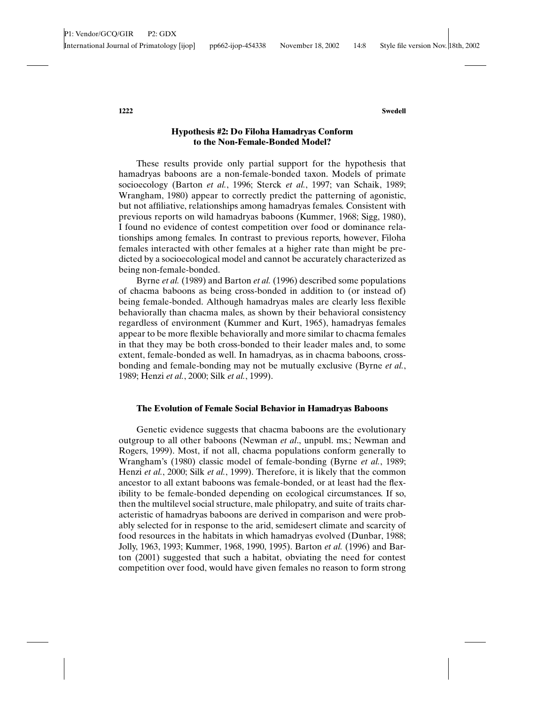## **Hypothesis #2: Do Filoha Hamadryas Conform to the Non-Female-Bonded Model?**

These results provide only partial support for the hypothesis that hamadryas baboons are a non-female-bonded taxon. Models of primate socioecology (Barton *et al.*, 1996; Sterck *et al.*, 1997; van Schaik, 1989; Wrangham, 1980) appear to correctly predict the patterning of agonistic, but not affiliative, relationships among hamadryas females. Consistent with previous reports on wild hamadryas baboons (Kummer, 1968; Sigg, 1980), I found no evidence of contest competition over food or dominance relationships among females. In contrast to previous reports, however, Filoha females interacted with other females at a higher rate than might be predicted by a socioecological model and cannot be accurately characterized as being non-female-bonded.

Byrne *et al.* (1989) and Barton *et al.* (1996) described some populations of chacma baboons as being cross-bonded in addition to (or instead of) being female-bonded. Although hamadryas males are clearly less flexible behaviorally than chacma males, as shown by their behavioral consistency regardless of environment (Kummer and Kurt, 1965), hamadryas females appear to be more flexible behaviorally and more similar to chacma females in that they may be both cross-bonded to their leader males and, to some extent, female-bonded as well. In hamadryas, as in chacma baboons, crossbonding and female-bonding may not be mutually exclusive (Byrne *et al.*, 1989; Henzi *et al.*, 2000; Silk *et al.*, 1999).

## **The Evolution of Female Social Behavior in Hamadryas Baboons**

Genetic evidence suggests that chacma baboons are the evolutionary outgroup to all other baboons (Newman *et al*., unpubl. ms.; Newman and Rogers, 1999). Most, if not all, chacma populations conform generally to Wrangham's (1980) classic model of female-bonding (Byrne *et al.*, 1989; Henzi *et al.*, 2000; Silk *et al.*, 1999). Therefore, it is likely that the common ancestor to all extant baboons was female-bonded, or at least had the flexibility to be female-bonded depending on ecological circumstances. If so, then the multilevel social structure, male philopatry, and suite of traits characteristic of hamadryas baboons are derived in comparison and were probably selected for in response to the arid, semidesert climate and scarcity of food resources in the habitats in which hamadryas evolved (Dunbar, 1988; Jolly, 1963, 1993; Kummer, 1968, 1990, 1995). Barton *et al.* (1996) and Barton (2001) suggested that such a habitat, obviating the need for contest competition over food, would have given females no reason to form strong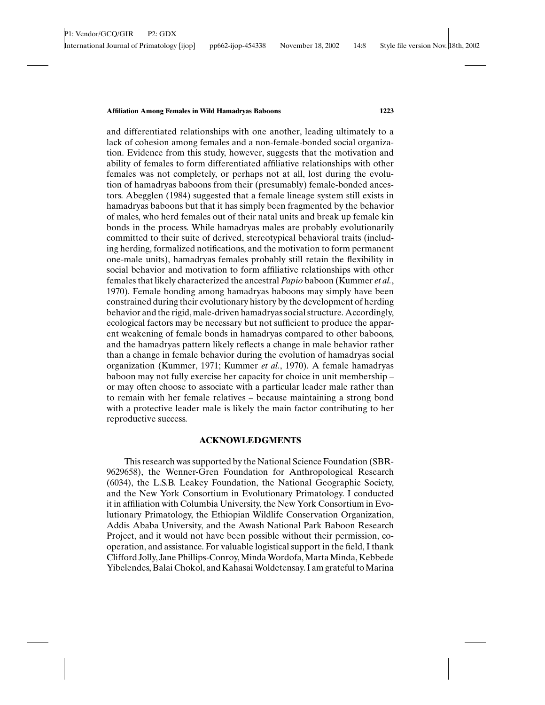and differentiated relationships with one another, leading ultimately to a lack of cohesion among females and a non-female-bonded social organization. Evidence from this study, however, suggests that the motivation and ability of females to form differentiated affiliative relationships with other females was not completely, or perhaps not at all, lost during the evolution of hamadryas baboons from their (presumably) female-bonded ancestors. Abegglen (1984) suggested that a female lineage system still exists in hamadryas baboons but that it has simply been fragmented by the behavior of males, who herd females out of their natal units and break up female kin bonds in the process. While hamadryas males are probably evolutionarily committed to their suite of derived, stereotypical behavioral traits (including herding, formalized notifications, and the motivation to form permanent one-male units), hamadryas females probably still retain the flexibility in social behavior and motivation to form affiliative relationships with other females that likely characterized the ancestral *Papio* baboon (Kummer *et al.*, 1970). Female bonding among hamadryas baboons may simply have been constrained during their evolutionary history by the development of herding behavior and the rigid, male-driven hamadryas social structure. Accordingly, ecological factors may be necessary but not sufficient to produce the apparent weakening of female bonds in hamadryas compared to other baboons, and the hamadryas pattern likely reflects a change in male behavior rather than a change in female behavior during the evolution of hamadryas social organization (Kummer, 1971; Kummer *et al.*, 1970). A female hamadryas baboon may not fully exercise her capacity for choice in unit membership – or may often choose to associate with a particular leader male rather than to remain with her female relatives – because maintaining a strong bond with a protective leader male is likely the main factor contributing to her reproductive success.

## **ACKNOWLEDGMENTS**

This research was supported by the National Science Foundation (SBR-9629658), the Wenner-Gren Foundation for Anthropological Research (6034), the L.S.B. Leakey Foundation, the National Geographic Society, and the New York Consortium in Evolutionary Primatology. I conducted it in affiliation with Columbia University, the New York Consortium in Evolutionary Primatology, the Ethiopian Wildlife Conservation Organization, Addis Ababa University, and the Awash National Park Baboon Research Project, and it would not have been possible without their permission, cooperation, and assistance. For valuable logistical support in the field, I thank Clifford Jolly, Jane Phillips-Conroy, Minda Wordofa, Marta Minda, Kebbede Yibelendes, Balai Chokol, and Kahasai Woldetensay. I am grateful to Marina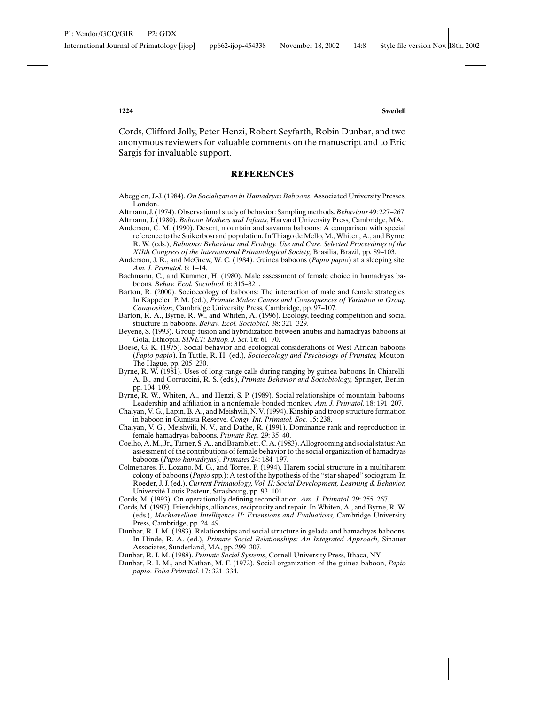Cords, Clifford Jolly, Peter Henzi, Robert Seyfarth, Robin Dunbar, and two anonymous reviewers for valuable comments on the manuscript and to Eric Sargis for invaluable support.

## **REFERENCES**

- Abegglen, J.-J. (1984). *On Socialization in Hamadryas Baboons*, Associated University Presses, London.
- Altmann, J. (1974). Observational study of behavior: Sampling methods. *Behaviour* 49: 227–267.
- Altmann, J. (1980). *Baboon Mothers and Infants*, Harvard University Press, Cambridge, MA.
- Anderson, C. M. (1990). Desert, mountain and savanna baboons: A comparison with special reference to the Suikerbosrand population. In Thiago de Mello, M., Whiten, A., and Byrne, R. W. (eds.), *Baboons: Behaviour and Ecology. Use and Care. Selected Proceedings of the XIIth Congress of the International Primatological Society,* Brasilia, Brazil, pp. 89–103.
- Anderson, J. R., and McGrew, W. C. (1984). Guinea baboons (*Papio papio*) at a sleeping site. *Am. J. Primatol.* 6: 1–14.
- Bachmann, C., and Kummer, H. (1980). Male assessment of female choice in hamadryas baboons. *Behav. Ecol. Sociobiol.* 6: 315–321.
- Barton, R. (2000). Socioecology of baboons: The interaction of male and female strategies. In Kappeler, P. M. (ed.), *Primate Males: Causes and Consequences of Variation in Group Composition*, Cambridge University Press, Cambridge, pp. 97–107.
- Barton, R. A., Byrne, R. W., and Whiten, A. (1996). Ecology, feeding competition and social structure in baboons. *Behav. Ecol. Sociobiol.* 38: 321–329.
- Beyene, S. (1993). Group-fusion and hybridization between anubis and hamadryas baboons at Gola, Ethiopia. *SINET: Ethiop. J. Sci.* 16: 61–70.
- Boese, G. K. (1975). Social behavior and ecological considerations of West African baboons (*Papio papio*). In Tuttle, R. H. (ed.), *Socioecology and Psychology of Primates,* Mouton, The Hague, pp. 205–230.
- Byrne, R. W. (1981). Uses of long-range calls during ranging by guinea baboons. In Chiarelli, A. B., and Corruccini, R. S. (eds.), *Primate Behavior and Sociobiology,* Springer, Berlin, pp. 104–109.
- Byrne, R. W., Whiten, A., and Henzi, S. P. (1989). Social relationships of mountain baboons: Leadership and affiliation in a nonfemale-bonded monkey. *Am. J. Primatol.* 18: 191–207.
- Chalyan, V. G., Lapin, B. A., and Meishvili, N. V. (1994). Kinship and troop structure formation in baboon in Gumista Reserve. *Congr. Int. Primatol. Soc.* 15: 238.
- Chalyan, V. G., Meishvili, N. V., and Dathe, R. (1991). Dominance rank and reproduction in female hamadryas baboons. *Primate Rep.* 29: 35–40.
- Coelho, A. M., Jr., Turner, S. A., and Bramblett, C. A. (1983). Allogrooming and social status: An assessment of the contributions of female behavior to the social organization of hamadryas baboons (*Papio hamadryas*). *Primates* 24: 184–197.
- Colmenares, F., Lozano, M. G., and Torres, P. (1994). Harem social structure in a multiharem colony of baboons (*Papio* spp.): A test of the hypothesis of the "star-shaped" sociogram. In Roeder, J. J. (ed.), *Current Primatology, Vol. II: Social Development, Learning & Behavior,* Université Louis Pasteur, Strasbourg, pp. 93-101.

Cords, M. (1993). On operationally defining reconciliation. *Am. J. Primatol.* 29: 255–267.

- Cords, M. (1997). Friendships, alliances, reciprocity and repair. In Whiten, A., and Byrne, R. W. (eds.), *Machiavellian Intelligence II: Extensions and Evaluations,* Cambridge University Press, Cambridge, pp. 24–49.
- Dunbar, R. I. M. (1983). Relationships and social structure in gelada and hamadryas baboons. In Hinde, R. A. (ed.), *Primate Social Relationships: An Integrated Approach,* Sinauer Associates, Sunderland, MA, pp. 299–307.
- Dunbar, R. I. M. (1988). *Primate Social Systems*, Cornell University Press, Ithaca, NY.
- Dunbar, R. I. M., and Nathan, M. F. (1972). Social organization of the guinea baboon, *Papio papio*. *Folia Primatol.* 17: 321–334.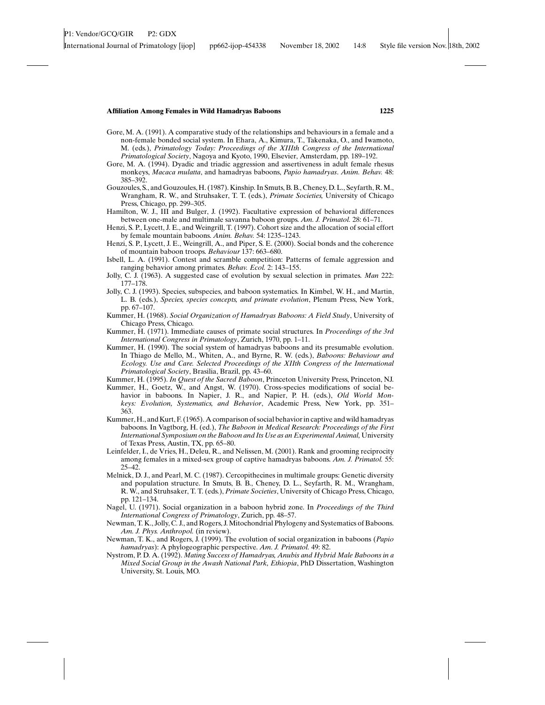- Gore, M. A. (1991). A comparative study of the relationships and behaviours in a female and a non-female bonded social system. In Ehara, A., Kimura, T., Takenaka, O., and Iwamoto, M. (eds.), *Primatology Today: Proceedings of the XIIIth Congress of the International Primatological Society*, Nagoya and Kyoto, 1990, Elsevier, Amsterdam, pp. 189–192.
- Gore, M. A. (1994). Dyadic and triadic aggression and assertiveness in adult female rhesus monkeys, *Macaca mulatta*, and hamadryas baboons, *Papio hamadryas*. *Anim. Behav.* 48: 385–392.
- Gouzoules, S., and Gouzoules, H. (1987). Kinship. In Smuts, B. B., Cheney, D. L., Seyfarth, R. M., Wrangham, R. W., and Struhsaker, T. T. (eds.), *Primate Societies,* University of Chicago Press, Chicago, pp. 299–305.
- Hamilton, W. J., III and Bulger, J. (1992). Facultative expression of behavioral differences between one-male and multimale savanna baboon groups. *Am. J. Primatol.* 28: 61–71.
- Henzi, S. P., Lycett, J. E., and Weingrill, T. (1997). Cohort size and the allocation of social effort by female mountain baboons. *Anim. Behav.* 54: 1235–1243.
- Henzi, S. P., Lycett, J. E., Weingrill, A., and Piper, S. E. (2000). Social bonds and the coherence of mountain baboon troops. *Behaviour* 137: 663–680.
- Isbell, L. A. (1991). Contest and scramble competition: Patterns of female aggression and ranging behavior among primates. *Behav. Ecol.* 2: 143–155.
- Jolly, C. J. (1963). A suggested case of evolution by sexual selection in primates. *Man* 222: 177–178.
- Jolly, C. J. (1993). Species, subspecies, and baboon systematics. In Kimbel, W. H., and Martin, L. B. (eds.), *Species, species concepts, and primate evolution*, Plenum Press, New York, pp. 67–107.
- Kummer, H. (1968). *Social Organization of Hamadryas Baboons: A Field Study*, University of Chicago Press, Chicago.
- Kummer, H. (1971). Immediate causes of primate social structures. In *Proceedings of the 3rd International Congress in Primatology*, Zurich, 1970, pp. 1–11.
- Kummer, H. (1990). The social system of hamadryas baboons and its presumable evolution. In Thiago de Mello, M., Whiten, A., and Byrne, R. W. (eds.), *Baboons: Behaviour and Ecology. Use and Care. Selected Proceedings of the XIIth Congress of the International Primatological Society*, Brasilia, Brazil, pp. 43–60.

Kummer, H. (1995). *In Quest of the Sacred Baboon*, Princeton University Press, Princeton, NJ.

- Kummer, H., Goetz, W., and Angst, W. (1970). Cross-species modifications of social behavior in baboons. In Napier, J. R., and Napier, P. H. (eds.), *Old World Monkeys: Evolution, Systematics, and Behavior*, Academic Press, New York, pp. 351– 363.
- Kummer, H., and Kurt, F. (1965). A comparison of social behavior in captive and wild hamadryas baboons. In Vagtborg, H. (ed.), *The Baboon in Medical Research: Proceedings of the First International Symposium on the Baboon and Its Use as an Experimental Animal,* University of Texas Press, Austin, TX, pp. 65–80.
- Leinfelder, I., de Vries, H., Deleu, R., and Nelissen, M. (2001). Rank and grooming reciprocity among females in a mixed-sex group of captive hamadryas baboons. *Am. J. Primatol.* 55: 25–42.
- Melnick, D. J., and Pearl, M. C. (1987). Cercopithecines in multimale groups: Genetic diversity and population structure. In Smuts, B. B., Cheney, D. L., Seyfarth, R. M., Wrangham, R. W., and Struhsaker, T. T. (eds.), *Primate Societies*, University of Chicago Press, Chicago, pp. 121–134.
- Nagel, U. (1971). Social organization in a baboon hybrid zone. In *Proceedings of the Third International Congress of Primatology*, Zurich, pp. 48–57.
- Newman, T. K., Jolly, C. J., and Rogers, J. Mitochondrial Phylogeny and Systematics of Baboons. *Am. J. Phys. Anthropol.* (in review).
- Newman, T. K., and Rogers, J. (1999). The evolution of social organization in baboons (*Papio hamadryas*): A phylogeographic perspective. *Am. J. Primatol.* 49: 82.
- Nystrom, P. D. A. (1992). *Mating Success of Hamadryas, Anubis and Hybrid Male Baboons in a Mixed Social Group in the Awash National Park, Ethiopia*, PhD Dissertation, Washington University, St. Louis, MO.